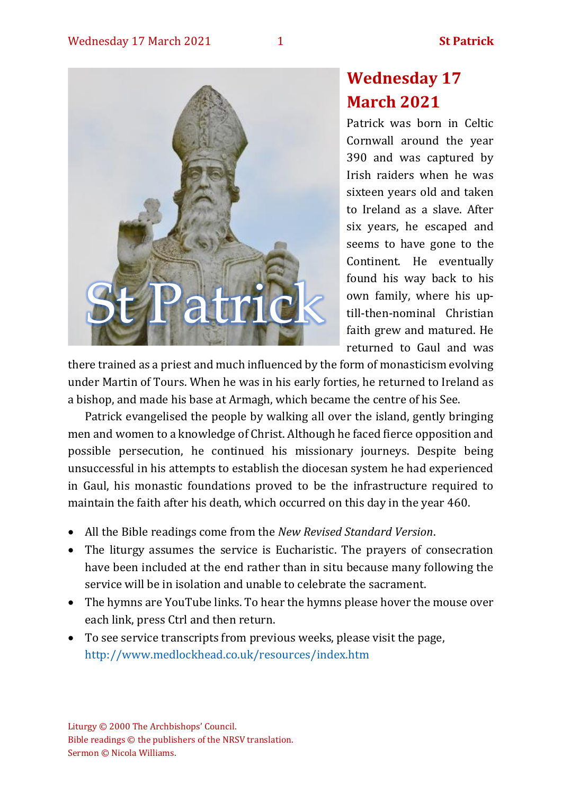

# **Wednesday 17 March 2021**

Patrick was born in Celtic Cornwall around the year 390 and was captured by Irish raiders when he was sixteen years old and taken to Ireland as a slave. After six years, he escaped and seems to have gone to the Continent. He eventually found his way back to his own family, where his uptill-then-nominal Christian faith grew and matured. He returned to Gaul and was

there trained as a priest and much influenced by the form of monasticism evolving under Martin of Tours. When he was in his early forties, he returned to Ireland as a bishop, and made his base at Armagh, which became the centre of his See.

Patrick evangelised the people by walking all over the island, gently bringing men and women to a knowledge of Christ. Although he faced fierce opposition and possible persecution, he continued his missionary journeys. Despite being unsuccessful in his attempts to establish the diocesan system he had experienced in Gaul, his monastic foundations proved to be the infrastructure required to maintain the faith after his death, which occurred on this day in the year 460.

- All the Bible readings come from the *New Revised Standard Version*.
- The liturgy assumes the service is Eucharistic. The prayers of consecration have been included at the end rather than in situ because many following the service will be in isolation and unable to celebrate the sacrament.
- The hymns are YouTube links. To hear the hymns please hover the mouse over each link, press Ctrl and then return.
- To see service transcripts from previous weeks, please visit the page, <http://www.medlockhead.co.uk/resources/index.htm>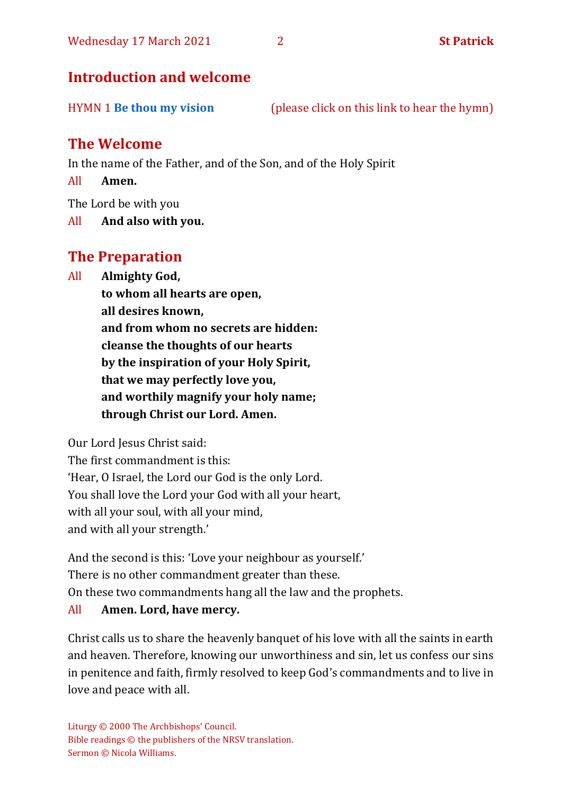# **Introduction and welcome**

HYMN 1 **[Be thou my vision](https://www.youtube.com/watch?v=6CMclLT_Hjg)** (please click on this link to hear the hymn)

# **The Welcome**

In the name of the Father, and of the Son, and of the Holy Spirit

All **Amen.**

The Lord be with you

All **And also with you.**

# **The Preparation**

All **Almighty God,**

**to whom all hearts are open, all desires known, and from whom no secrets are hidden: cleanse the thoughts of our hearts by the inspiration of your Holy Spirit, that we may perfectly love you, and worthily magnify your holy name; through Christ our Lord. Amen.**

Our Lord Jesus Christ said:

The first commandment is this: 'Hear, O Israel, the Lord our God is the only Lord. You shall love the Lord your God with all your heart, with all your soul, with all your mind, and with all your strength.'

And the second is this: 'Love your neighbour as yourself.' There is no other commandment greater than these. On these two commandments hang all the law and the prophets.

### All **Amen. Lord, have mercy.**

Christ calls us to share the heavenly banquet of his love with all the saints in earth and heaven. Therefore, knowing our unworthiness and sin, let us confess our sins in penitence and faith, firmly resolved to keep God's commandments and to live in love and peace with all.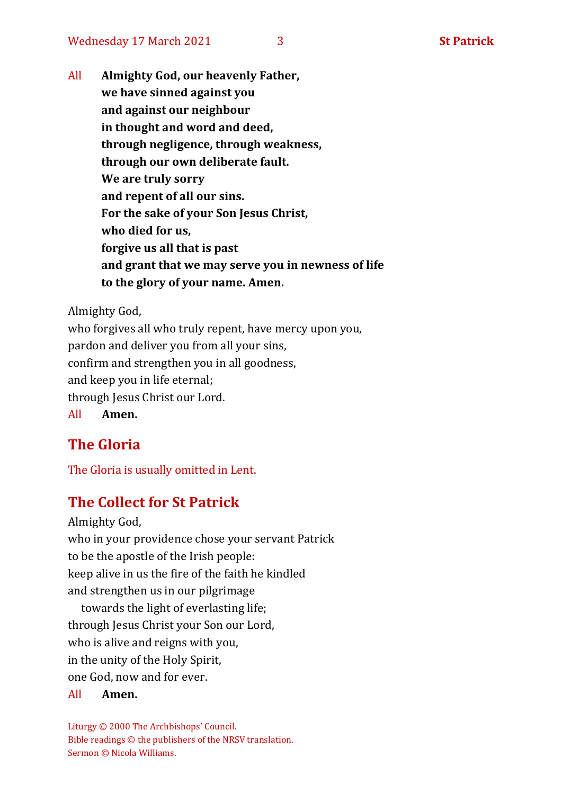All **Almighty God, our heavenly Father, we have sinned against you and against our neighbour in thought and word and deed, through negligence, through weakness, through our own deliberate fault. We are truly sorry and repent of all our sins. For the sake of your Son Jesus Christ, who died for us, forgive us all that is past and grant that we may serve you in newness of life to the glory of your name. Amen.**

Almighty God,

who forgives all who truly repent, have mercy upon you, pardon and deliver you from all your sins, confirm and strengthen you in all goodness, and keep you in life eternal; through Jesus Christ our Lord. All **Amen.**

# **The Gloria**

The Gloria is usually omitted in Lent.

# **The Collect for St Patrick**

Almighty God, who in your providence chose your servant Patrick to be the apostle of the Irish people: keep alive in us the fire of the faith he kindled and strengthen us in our pilgrimage

towards the light of everlasting life; through Jesus Christ your Son our Lord, who is alive and reigns with you, in the unity of the Holy Spirit, one God, now and for ever.

#### All **Amen.**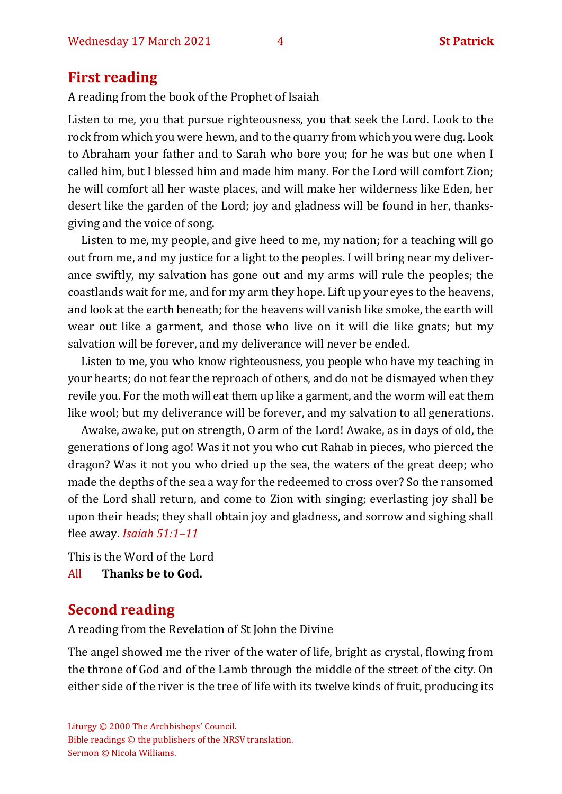## **First reading**

A reading from the book of the Prophet of Isaiah

Listen to me, you that pursue righteousness, you that seek the Lord. Look to the rock from which you were hewn, and to the quarry from which you were dug. Look to Abraham your father and to Sarah who bore you; for he was but one when I called him, but I blessed him and made him many. For the Lord will comfort Zion; he will comfort all her waste places, and will make her wilderness like Eden, her desert like the garden of the Lord; joy and gladness will be found in her, thanksgiving and the voice of song.

Listen to me, my people, and give heed to me, my nation; for a teaching will go out from me, and my justice for a light to the peoples. I will bring near my deliverance swiftly, my salvation has gone out and my arms will rule the peoples; the coastlands wait for me, and for my arm they hope. Lift up your eyes to the heavens, and look at the earth beneath; for the heavens will vanish like smoke, the earth will wear out like a garment, and those who live on it will die like gnats; but my salvation will be forever, and my deliverance will never be ended.

Listen to me, you who know righteousness, you people who have my teaching in your hearts; do not fear the reproach of others, and do not be dismayed when they revile you. For the moth will eat them up like a garment, and the worm will eat them like wool; but my deliverance will be forever, and my salvation to all generations.

Awake, awake, put on strength, O arm of the Lord! Awake, as in days of old, the generations of long ago! Was it not you who cut Rahab in pieces, who pierced the dragon? Was it not you who dried up the sea, the waters of the great deep; who made the depths of the sea a way for the redeemed to cross over? So the ransomed of the Lord shall return, and come to Zion with singing; everlasting joy shall be upon their heads; they shall obtain joy and gladness, and sorrow and sighing shall flee away. *Isaiah 51:1–11* 

This is the Word of the Lord All **Thanks be to God.**

# **Second reading**

A reading from the Revelation of St John the Divine

The angel showed me the river of the water of life, bright as crystal, flowing from the throne of God and of the Lamb through the middle of the street of the city. On either side of the river is the tree of life with its twelve kinds of fruit, producing its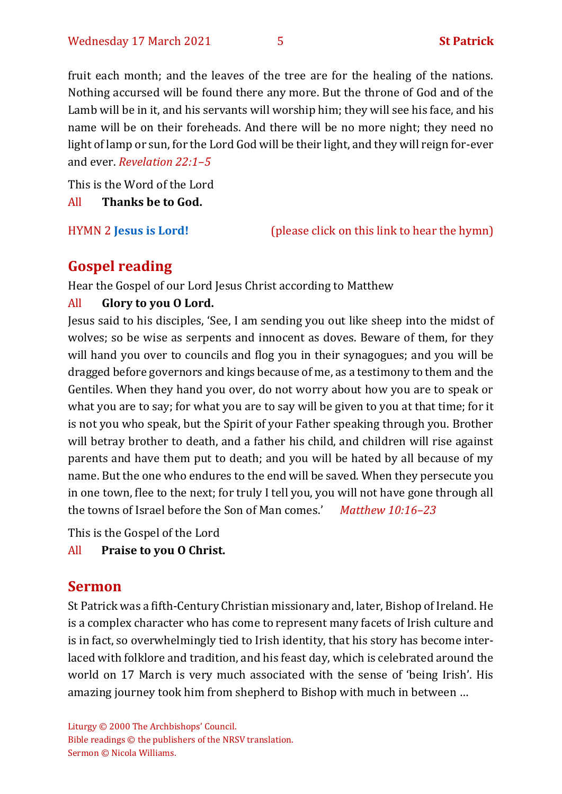fruit each month; and the leaves of the tree are for the healing of the nations. Nothing accursed will be found there any more. But the throne of God and of the Lamb will be in it, and his servants will worship him; they will see his face, and his name will be on their foreheads. And there will be no more night; they need no light of lamp or sun, for the Lord God will be their light, and they will reign for-ever and ever. *Revelation 22:1–5* 

This is the Word of the Lord

All **Thanks be to God.**

HYMN 2 **[Jesus is Lord!](https://www.youtube.com/watch?v=rflCCx3QRys&list=PLilJizfAHGExM_BlYgUNqWFtvwgMiXAmT)** (please click on this link to hear the hymn)

# **Gospel reading**

Hear the Gospel of our Lord Jesus Christ according to Matthew

### All **Glory to you O Lord.**

Jesus said to his disciples, 'See, I am sending you out like sheep into the midst of wolves; so be wise as serpents and innocent as doves. Beware of them, for they will hand you over to councils and flog you in their synagogues; and you will be dragged before governors and kings because of me, as a testimony to them and the Gentiles. When they hand you over, do not worry about how you are to speak or what you are to say; for what you are to say will be given to you at that time; for it is not you who speak, but the Spirit of your Father speaking through you. Brother will betray brother to death, and a father his child, and children will rise against parents and have them put to death; and you will be hated by all because of my name. But the one who endures to the end will be saved. When they persecute you in one town, flee to the next; for truly I tell you, you will not have gone through all the towns of Israel before the Son of Man comes.' *Matthew 10:16–23*

This is the Gospel of the Lord

All **Praise to you O Christ.** 

# **Sermon**

St Patrick was a fifth-Century Christian missionary and, later, Bishop of Ireland. He is a complex character who has come to represent many facets of Irish culture and is in fact, so overwhelmingly tied to Irish identity, that his story has become interlaced with folklore and tradition, and his feast day, which is celebrated around the world on 17 March is very much associated with the sense of 'being Irish'. His amazing journey took him from shepherd to Bishop with much in between …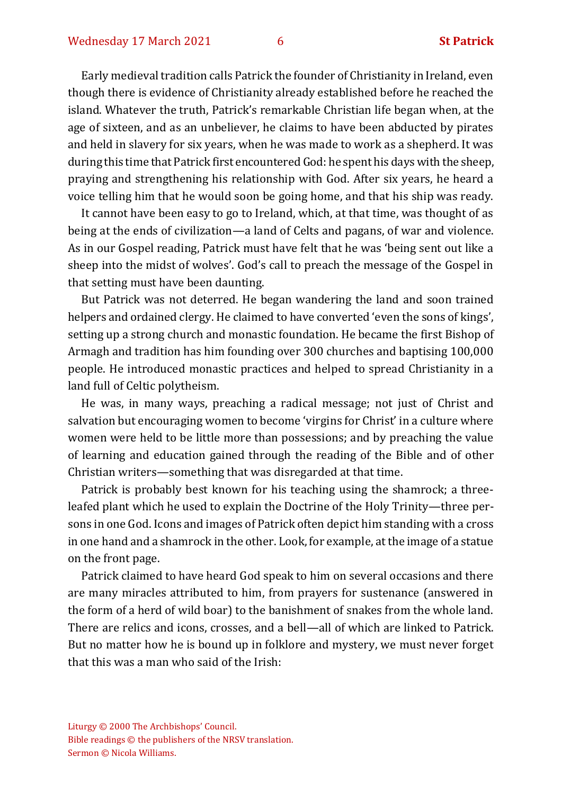Early medieval tradition calls Patrick the founder of Christianity in Ireland, even though there is evidence of Christianity already established before he reached the island. Whatever the truth, Patrick's remarkable Christian life began when, at the age of sixteen, and as an unbeliever, he claims to have been abducted by pirates and held in slavery for six years, when he was made to work as a shepherd. It was during this time that Patrick first encountered God: he spent his days with the sheep, praying and strengthening his relationship with God. After six years, he heard a voice telling him that he would soon be going home, and that his ship was ready.

It cannot have been easy to go to Ireland, which, at that time, was thought of as being at the ends of civilization—a land of Celts and pagans, of war and violence. As in our Gospel reading, Patrick must have felt that he was 'being sent out like a sheep into the midst of wolves'. God's call to preach the message of the Gospel in that setting must have been daunting.

But Patrick was not deterred. He began wandering the land and soon trained helpers and ordained clergy. He claimed to have converted 'even the sons of kings', setting up a strong church and monastic foundation. He became the first Bishop of Armagh and tradition has him founding over 300 churches and baptising 100,000 people. He introduced monastic practices and helped to spread Christianity in a land full of Celtic polytheism.

He was, in many ways, preaching a radical message; not just of Christ and salvation but encouraging women to become 'virgins for Christ' in a culture where women were held to be little more than possessions; and by preaching the value of learning and education gained through the reading of the Bible and of other Christian writers—something that was disregarded at that time.

Patrick is probably best known for his teaching using the shamrock; a threeleafed plant which he used to explain the Doctrine of the Holy Trinity—three persons in one God. Icons and images of Patrick often depict him standing with a cross in one hand and a shamrock in the other. Look, for example, at the image of a statue on the front page.

Patrick claimed to have heard God speak to him on several occasions and there are many miracles attributed to him, from prayers for sustenance (answered in the form of a herd of wild boar) to the banishment of snakes from the whole land. There are relics and icons, crosses, and a bell—all of which are linked to Patrick. But no matter how he is bound up in folklore and mystery, we must never forget that this was a man who said of the Irish: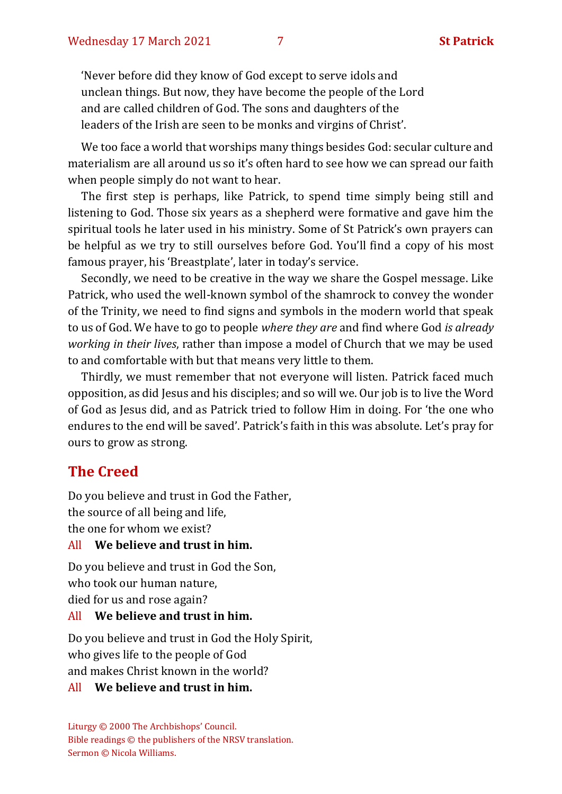'Never before did they know of God except to serve idols and unclean things. But now, they have become the people of the Lord and are called children of God. The sons and daughters of the leaders of the Irish are seen to be monks and virgins of Christ'.

We too face a world that worships many things besides God: secular culture and materialism are all around us so it's often hard to see how we can spread our faith when people simply do not want to hear.

The first step is perhaps, like Patrick, to spend time simply being still and listening to God. Those six years as a shepherd were formative and gave him the spiritual tools he later used in his ministry. Some of St Patrick's own prayers can be helpful as we try to still ourselves before God. You'll find a copy of his most famous prayer, his 'Breastplate', later in today's service.

Secondly, we need to be creative in the way we share the Gospel message. Like Patrick, who used the well-known symbol of the shamrock to convey the wonder of the Trinity, we need to find signs and symbols in the modern world that speak to us of God. We have to go to people *where they are* and find where God *is already working in their lives*, rather than impose a model of Church that we may be used to and comfortable with but that means very little to them.

Thirdly, we must remember that not everyone will listen. Patrick faced much opposition, as did Jesus and his disciples; and so will we. Our job is to live the Word of God as Jesus did, and as Patrick tried to follow Him in doing. For 'the one who endures to the end will be saved'. Patrick's faith in this was absolute. Let's pray for ours to grow as strong.

## **The Creed**

Do you believe and trust in God the Father, the source of all being and life, the one for whom we exist?

#### All **We believe and trust in him.**

Do you believe and trust in God the Son, who took our human nature, died for us and rose again?

#### All **We believe and trust in him.**

Do you believe and trust in God the Holy Spirit, who gives life to the people of God and makes Christ known in the world?

#### All **We believe and trust in him.**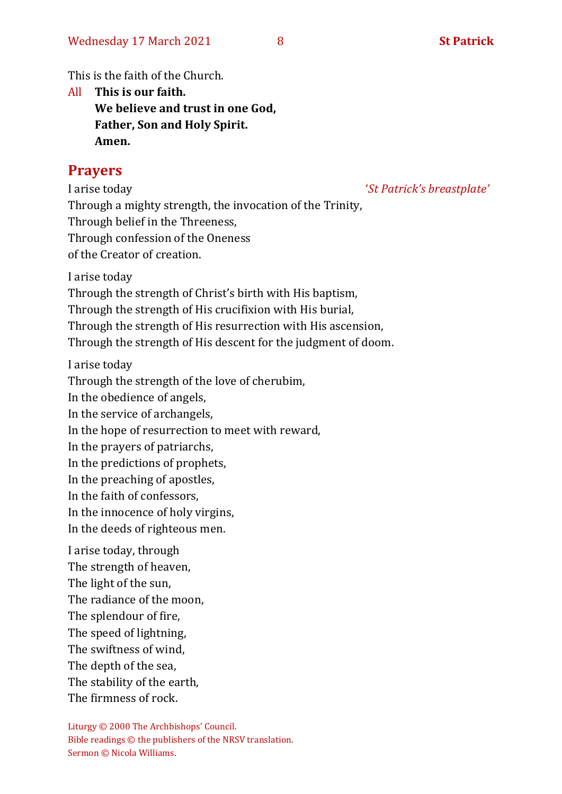This is the faith of the Church.

All **This is our faith. We believe and trust in one God, Father, Son and Holy Spirit. Amen.**

# **Prayers**

I arise today '*St Patrick's breastplate'*

Through a mighty strength, the invocation of the Trinity, Through belief in the Threeness, Through confession of the Oneness of the Creator of creation.

I arise today

Through the strength of Christ's birth with His baptism,

Through the strength of His crucifixion with His burial,

Through the strength of His resurrection with His ascension,

Through the strength of His descent for the judgment of doom.

I arise today

Through the strength of the love of cherubim,

In the obedience of angels,

In the service of archangels,

In the hope of resurrection to meet with reward,

In the prayers of patriarchs,

In the predictions of prophets,

In the preaching of apostles,

In the faith of confessors,

In the innocence of holy virgins,

In the deeds of righteous men.

I arise today, through The strength of heaven, The light of the sun, The radiance of the moon, The splendour of fire, The speed of lightning, The swiftness of wind, The depth of the sea, The stability of the earth, The firmness of rock.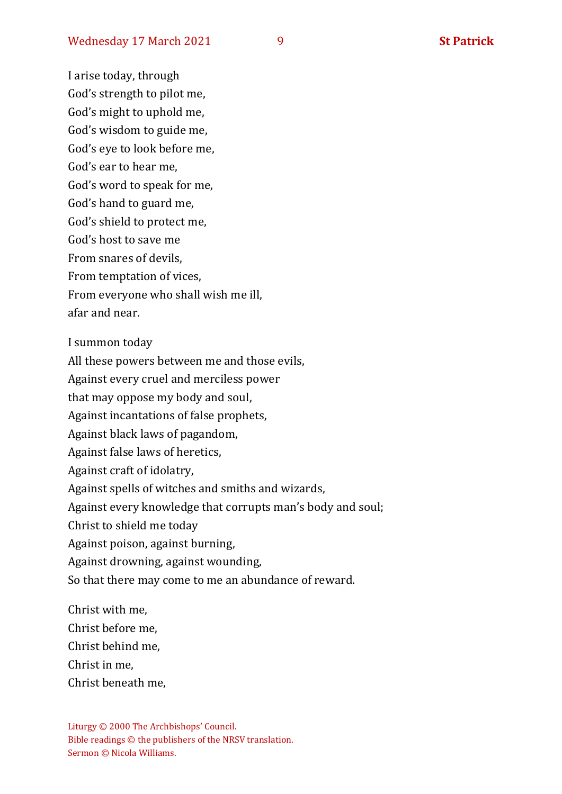I arise today, through God's strength to pilot me, God's might to uphold me, God's wisdom to guide me, God's eye to look before me, God's ear to hear me, God's word to speak for me, God's hand to guard me, God's shield to protect me, God's host to save me From snares of devils, From temptation of vices, From everyone who shall wish me ill, afar and near.

I summon today

All these powers between me and those evils,

Against every cruel and merciless power

that may oppose my body and soul,

Against incantations of false prophets,

Against black laws of pagandom,

Against false laws of heretics,

Against craft of idolatry,

Against spells of witches and smiths and wizards,

Against every knowledge that corrupts man's body and soul;

Christ to shield me today

Against poison, against burning,

Against drowning, against wounding,

So that there may come to me an abundance of reward.

Christ with me,

Christ before me,

Christ behind me,

Christ in me,

Christ beneath me,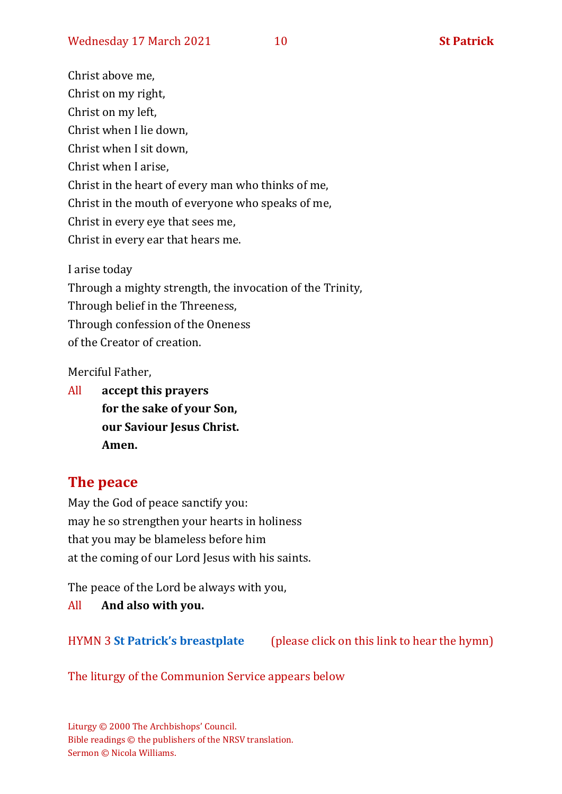Christ above me, Christ on my right, Christ on my left, Christ when I lie down, Christ when I sit down, Christ when I arise, Christ in the heart of every man who thinks of me, Christ in the mouth of everyone who speaks of me, Christ in every eye that sees me, Christ in every ear that hears me.

I arise today

Through a mighty strength, the invocation of the Trinity, Through belief in the Threeness, Through confession of the Oneness of the Creator of creation.

Merciful Father,

All **accept this prayers for the sake of your Son, our Saviour Jesus Christ. Amen.**

## **The peace**

May the God of peace sanctify you: may he so strengthen your hearts in holiness that you may be blameless before him at the coming of our Lord Jesus with his saints.

The peace of the Lord be always with you,

All **And also with you.**

HYMN 3 **[St Patrick's breastplate](https://www.youtube.com/watch?v=m1OCffhjHYw&list=RDm1OCffhjHYw&start_radio=1)** (please click on this link to hear the hymn)

The liturgy of the Communion Service appears below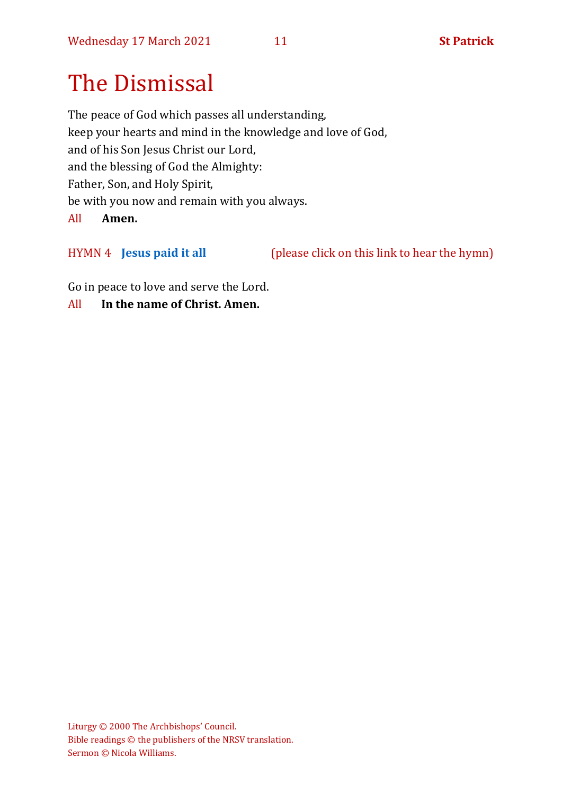# The Dismissal

The peace of God which passes all understanding, keep your hearts and mind in the knowledge and love of God, and of his Son Jesus Christ our Lord, and the blessing of God the Almighty: Father, Son, and Holy Spirit, be with you now and remain with you always. All **Amen.**

HYMN 4 **[Jesus paid it all](https://www.youtube.com/watch?v=YfUNU-sPwbQ)** (please click on this link to hear the hymn)

Go in peace to love and serve the Lord.

All **In the name of Christ. Amen.**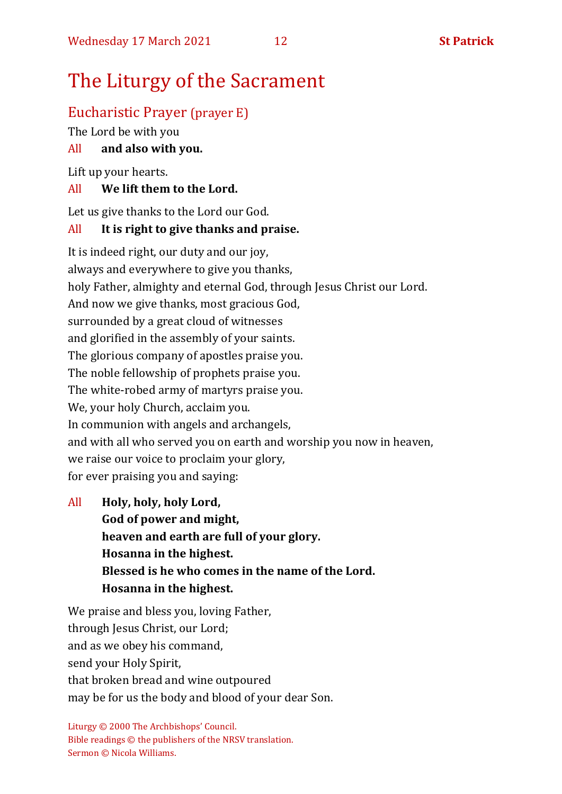# The Liturgy of the Sacrament

# Eucharistic Prayer (prayer E)

The Lord be with you

## All **and also with you.**

Lift up your hearts.

## All **We lift them to the Lord.**

Let us give thanks to the Lord our God.

## All **It is right to give thanks and praise.**

It is indeed right, our duty and our joy, always and everywhere to give you thanks, holy Father, almighty and eternal God, through Jesus Christ our Lord. And now we give thanks, most gracious God, surrounded by a great cloud of witnesses and glorified in the assembly of your saints. The glorious company of apostles praise you. The noble fellowship of prophets praise you. The white-robed army of martyrs praise you. We, your holy Church, acclaim you. In communion with angels and archangels, and with all who served you on earth and worship you now in heaven, we raise our voice to proclaim your glory, for ever praising you and saying:

All **Holy, holy, holy Lord, God of power and might, heaven and earth are full of your glory. Hosanna in the highest. Blessed is he who comes in the name of the Lord. Hosanna in the highest.**

We praise and bless you, loving Father, through Jesus Christ, our Lord; and as we obey his command, send your Holy Spirit, that broken bread and wine outpoured may be for us the body and blood of your dear Son.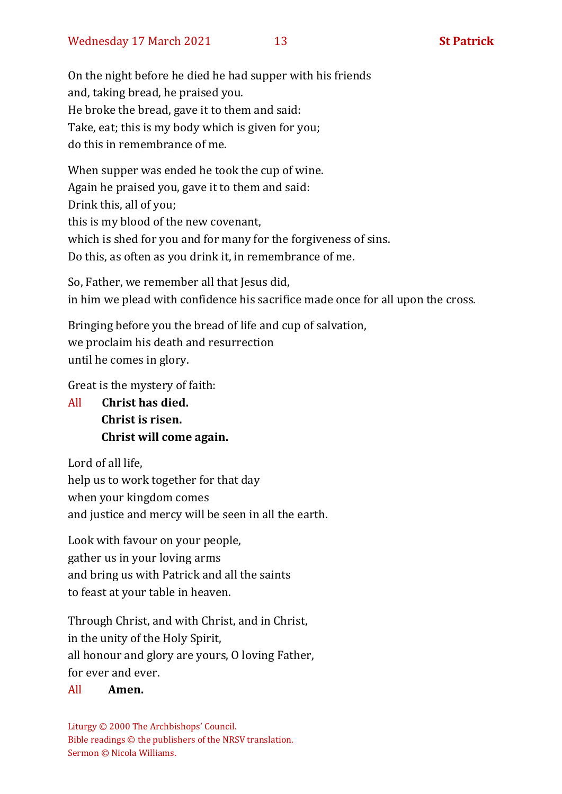On the night before he died he had supper with his friends and, taking bread, he praised you. He broke the bread, gave it to them and said: Take, eat; this is my body which is given for you; do this in remembrance of me.

When supper was ended he took the cup of wine. Again he praised you, gave it to them and said: Drink this, all of you; this is my blood of the new covenant, which is shed for you and for many for the forgiveness of sins. Do this, as often as you drink it, in remembrance of me.

So, Father, we remember all that Jesus did, in him we plead with confidence his sacrifice made once for all upon the cross.

Bringing before you the bread of life and cup of salvation, we proclaim his death and resurrection until he comes in glory.

Great is the mystery of faith:

All **Christ has died. Christ is risen. Christ will come again.**

Lord of all life, help us to work together for that day when your kingdom comes and justice and mercy will be seen in all the earth.

Look with favour on your people, gather us in your loving arms and bring us with Patrick and all the saints to feast at your table in heaven.

Through Christ, and with Christ, and in Christ, in the unity of the Holy Spirit, all honour and glory are yours, O loving Father, for ever and ever.

### All **Amen.**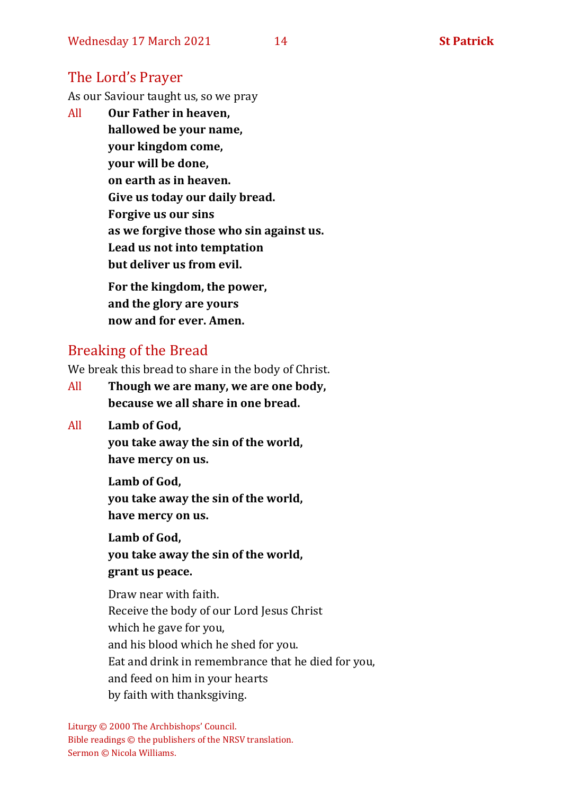## The Lord's Prayer

As our Saviour taught us, so we pray

All **Our Father in heaven, hallowed be your name, your kingdom come, your will be done, on earth as in heaven. Give us today our daily bread. Forgive us our sins as we forgive those who sin against us. Lead us not into temptation but deliver us from evil. For the kingdom, the power,** 

**and the glory are yours now and for ever. Amen.**

## Breaking of the Bread

We break this bread to share in the body of Christ.

- All **Though we are many, we are one body, because we all share in one bread.**
- All **Lamb of God,**

**you take away the sin of the world, have mercy on us.**

**Lamb of God, you take away the sin of the world, have mercy on us.**

**Lamb of God, you take away the sin of the world, grant us peace.**

Draw near with faith. Receive the body of our Lord Jesus Christ which he gave for you, and his blood which he shed for you. Eat and drink in remembrance that he died for you, and feed on him in your hearts by faith with thanksgiving.